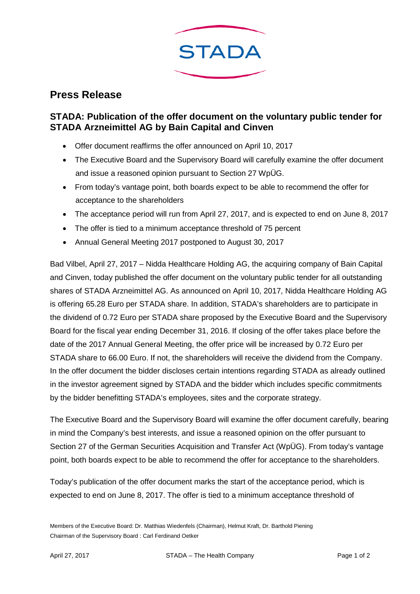

## **Press Release**

## **STADA: Publication of the offer document on the voluntary public tender for STADA Arzneimittel AG by Bain Capital and Cinven**

- Offer document reaffirms the offer announced on April 10, 2017
- The Executive Board and the Supervisory Board will carefully examine the offer document and issue a reasoned opinion pursuant to Section 27 WpÜG.
- From today's vantage point, both boards expect to be able to recommend the offer for acceptance to the shareholders
- The acceptance period will run from April 27, 2017, and is expected to end on June 8, 2017
- The offer is tied to a minimum acceptance threshold of 75 percent
- Annual General Meeting 2017 postponed to August 30, 2017

Bad Vilbel, April 27, 2017 – Nidda Healthcare Holding AG, the acquiring company of Bain Capital and Cinven, today published the offer document on the voluntary public tender for all outstanding shares of STADA Arzneimittel AG. As announced on April 10, 2017, Nidda Healthcare Holding AG is offering 65.28 Euro per STADA share. In addition, STADA's shareholders are to participate in the dividend of 0.72 Euro per STADA share proposed by the Executive Board and the Supervisory Board for the fiscal year ending December 31, 2016. If closing of the offer takes place before the date of the 2017 Annual General Meeting, the offer price will be increased by 0.72 Euro per STADA share to 66.00 Euro. If not, the shareholders will receive the dividend from the Company. In the offer document the bidder discloses certain intentions regarding STADA as already outlined in the investor agreement signed by STADA and the bidder which includes specific commitments by the bidder benefitting STADA's employees, sites and the corporate strategy.

The Executive Board and the Supervisory Board will examine the offer document carefully, bearing in mind the Company's best interests, and issue a reasoned opinion on the offer pursuant to Section 27 of the German Securities Acquisition and Transfer Act (WpÜG). From today's vantage point, both boards expect to be able to recommend the offer for acceptance to the shareholders.

Today's publication of the offer document marks the start of the acceptance period, which is expected to end on June 8, 2017. The offer is tied to a minimum acceptance threshold of

Members of the Executive Board: Dr. Matthias Wiedenfels (Chairman), Helmut Kraft, Dr. Barthold Piening Chairman of the Supervisory Board : Carl Ferdinand Oetker